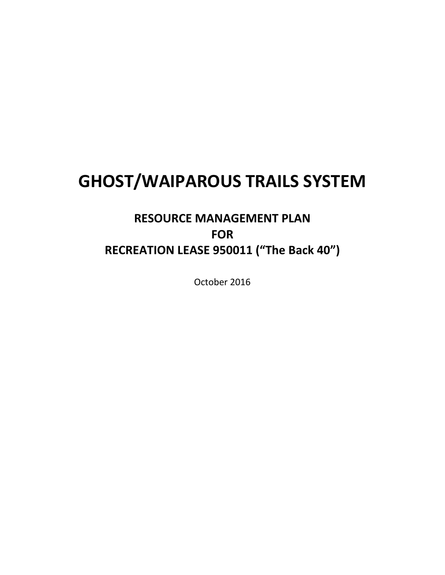# **GHOST/WAIPAROUS TRAILS SYSTEM**

# **RESOURCE MANAGEMENT PLAN FOR RECREATION LEASE 950011 ("The Back 40")**

October 2016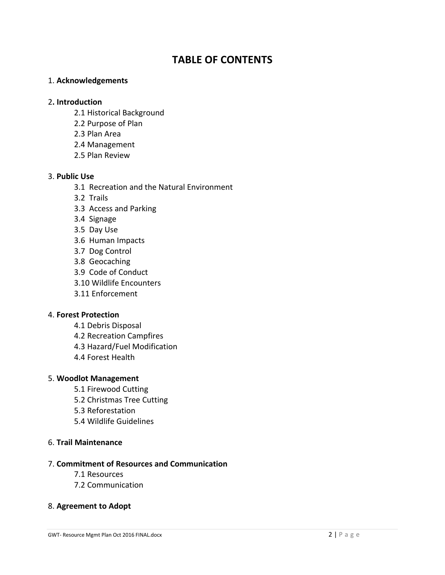# **TABLE OF CONTENTS**

#### 1. **Acknowledgements**

#### 2**. Introduction**

- 2.1 Historical Background
- 2.2 Purpose of Plan
- 2.3 Plan Area
- 2.4 Management
- 2.5 Plan Review

#### 3. **Public Use**

- 3.1 Recreation and the Natural Environment
- 3.2 Trails
- 3.3 Access and Parking
- 3.4 Signage
- 3.5 Day Use
- 3.6 Human Impacts
- 3.7 Dog Control
- 3.8 Geocaching
- 3.9 Code of Conduct
- 3.10 Wildlife Encounters
- 3.11 Enforcement

#### 4. **Forest Protection**

- 4.1 Debris Disposal
- 4.2 Recreation Campfires
- 4.3 Hazard/Fuel Modification
- 4.4 Forest Health

#### 5. **Woodlot Management**

- 5.1 Firewood Cutting
- 5.2 Christmas Tree Cutting
- 5.3 Reforestation
- 5.4 Wildlife Guidelines

#### 6. **Trail Maintenance**

#### 7. **Commitment of Resources and Communication**

- 7.1 Resources
- 7.2 Communication

#### 8. **Agreement to Adopt**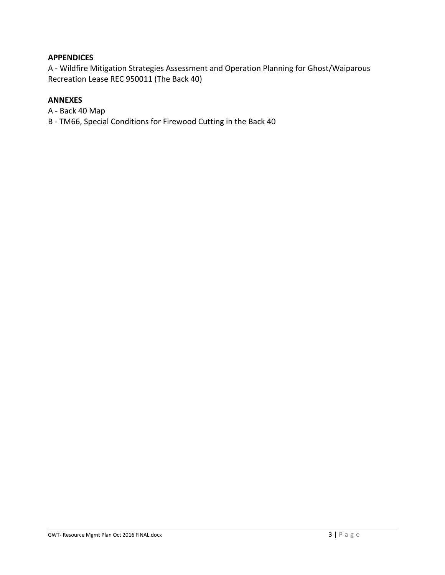#### **APPENDICES**

A - Wildfire Mitigation Strategies Assessment and Operation Planning for Ghost/Waiparous Recreation Lease REC 950011 (The Back 40)

#### **ANNEXES**

- A Back 40 Map
- B TM66, Special Conditions for Firewood Cutting in the Back 40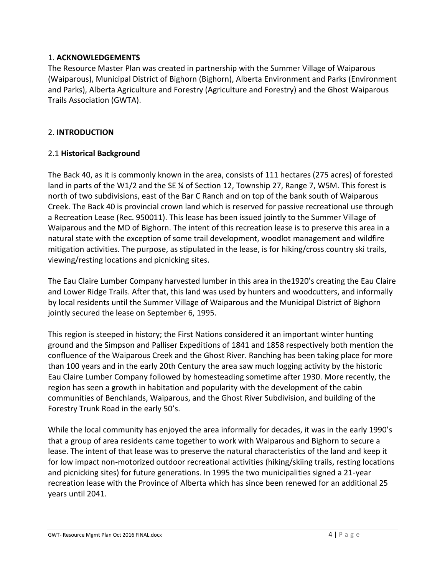#### 1. **ACKNOWLEDGEMENTS**

The Resource Master Plan was created in partnership with the Summer Village of Waiparous (Waiparous), Municipal District of Bighorn (Bighorn), Alberta Environment and Parks (Environment and Parks), Alberta Agriculture and Forestry (Agriculture and Forestry) and the Ghost Waiparous Trails Association (GWTA).

# 2. **INTRODUCTION**

# 2.1 **Historical Background**

The Back 40, as it is commonly known in the area, consists of 111 hectares (275 acres) of forested land in parts of the W1/2 and the SE ¼ of Section 12, Township 27, Range 7, W5M. This forest is north of two subdivisions, east of the Bar C Ranch and on top of the bank south of Waiparous Creek. The Back 40 is provincial crown land which is reserved for passive recreational use through a Recreation Lease (Rec. 950011). This lease has been issued jointly to the Summer Village of Waiparous and the MD of Bighorn. The intent of this recreation lease is to preserve this area in a natural state with the exception of some trail development, woodlot management and wildfire mitigation activities. The purpose, as stipulated in the lease, is for hiking/cross country ski trails, viewing/resting locations and picnicking sites.

The Eau Claire Lumber Company harvested lumber in this area in the1920's creating the Eau Claire and Lower Ridge Trails. After that, this land was used by hunters and woodcutters, and informally by local residents until the Summer Village of Waiparous and the Municipal District of Bighorn jointly secured the lease on September 6, 1995.

This region is steeped in history; the First Nations considered it an important winter hunting ground and the Simpson and Palliser Expeditions of 1841 and 1858 respectively both mention the confluence of the Waiparous Creek and the Ghost River. Ranching has been taking place for more than 100 years and in the early 20th Century the area saw much logging activity by the historic Eau Claire Lumber Company followed by homesteading sometime after 1930. More recently, the region has seen a growth in habitation and popularity with the development of the cabin communities of Benchlands, Waiparous, and the Ghost River Subdivision, and building of the Forestry Trunk Road in the early 50's.

While the local community has enjoyed the area informally for decades, it was in the early 1990's that a group of area residents came together to work with Waiparous and Bighorn to secure a lease. The intent of that lease was to preserve the natural characteristics of the land and keep it for low impact non-motorized outdoor recreational activities (hiking/skiing trails, resting locations and picnicking sites) for future generations. In 1995 the two municipalities signed a 21-year recreation lease with the Province of Alberta which has since been renewed for an additional 25 years until 2041.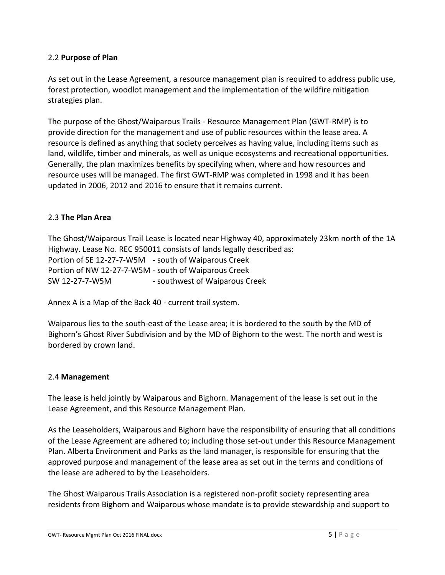#### 2.2 **Purpose of Plan**

As set out in the Lease Agreement, a resource management plan is required to address public use, forest protection, woodlot management and the implementation of the wildfire mitigation strategies plan.

The purpose of the Ghost/Waiparous Trails - Resource Management Plan (GWT-RMP) is to provide direction for the management and use of public resources within the lease area. A resource is defined as anything that society perceives as having value, including items such as land, wildlife, timber and minerals, as well as unique ecosystems and recreational opportunities. Generally, the plan maximizes benefits by specifying when, where and how resources and resource uses will be managed. The first GWT-RMP was completed in 1998 and it has been updated in 2006, 2012 and 2016 to ensure that it remains current.

#### 2.3 **The Plan Area**

The Ghost/Waiparous Trail Lease is located near Highway 40, approximately 23km north of the 1A Highway. Lease No. REC 950011 consists of lands legally described as: Portion of SE 12-27-7-W5M - south of Waiparous Creek Portion of NW 12-27-7-W5M - south of Waiparous Creek SW 12-27-7-W5M - southwest of Waiparous Creek

Annex A is a Map of the Back 40 - current trail system.

Waiparous lies to the south-east of the Lease area; it is bordered to the south by the MD of Bighorn's Ghost River Subdivision and by the MD of Bighorn to the west. The north and west is bordered by crown land.

#### 2.4 **Management**

The lease is held jointly by Waiparous and Bighorn. Management of the lease is set out in the Lease Agreement, and this Resource Management Plan.

As the Leaseholders, Waiparous and Bighorn have the responsibility of ensuring that all conditions of the Lease Agreement are adhered to; including those set-out under this Resource Management Plan. Alberta Environment and Parks as the land manager, is responsible for ensuring that the approved purpose and management of the lease area as set out in the terms and conditions of the lease are adhered to by the Leaseholders.

The Ghost Waiparous Trails Association is a registered non-profit society representing area residents from Bighorn and Waiparous whose mandate is to provide stewardship and support to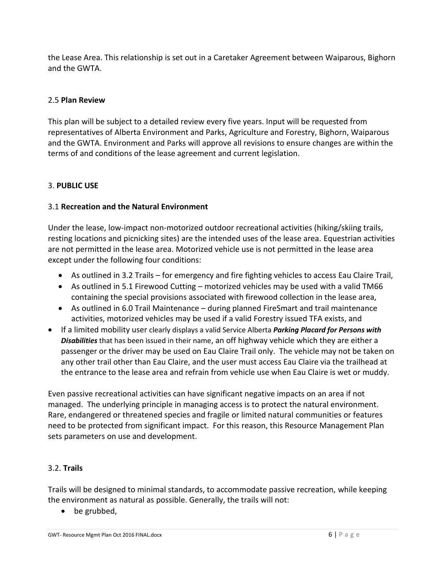the Lease Area. This relationship is set out in a Caretaker Agreement between Waiparous, Bighorn and the GWTA.

# 2.5 **Plan Review**

This plan will be subject to a detailed review every five years. Input will be requested from representatives of Alberta Environment and Parks, Agriculture and Forestry, Bighorn, Waiparous and the GWTA. Environment and Parks will approve all revisions to ensure changes are within the terms of and conditions of the lease agreement and current legislation.

# 3. **PUBLIC USE**

# 3.1 **Recreation and the Natural Environment**

Under the lease, low-impact non-motorized outdoor recreational activities (hiking/skiing trails, resting locations and picnicking sites) are the intended uses of the lease area. Equestrian activities are not permitted in the lease area. Motorized vehicle use is not permitted in the lease area except under the following four conditions:

- As outlined in 3.2 Trails for emergency and fire fighting vehicles to access Eau Claire Trail,
- As outlined in 5.1 Firewood Cutting motorized vehicles may be used with a valid TM66 containing the special provisions associated with firewood collection in the lease area,
- As outlined in 6.0 Trail Maintenance during planned FireSmart and trail maintenance activities, motorized vehicles may be used if a valid Forestry issued TFA exists, and
- If a limited mobility user clearly displays a valid Service Alberta *Parking Placard for Persons with Disabilities* that has been issued in their name, an off highway vehicle which they are either a passenger or the driver may be used on Eau Claire Trail only. The vehicle may not be taken on any other trail other than Eau Claire, and the user must access Eau Claire via the trailhead at the entrance to the lease area and refrain from vehicle use when Eau Claire is wet or muddy.

Even passive recreational activities can have significant negative impacts on an area if not managed. The underlying principle in managing access is to protect the natural environment. Rare, endangered or threatened species and fragile or limited natural communities or features need to be protected from significant impact. For this reason, this Resource Management Plan sets parameters on use and development.

# 3.2. **Trails**

Trails will be designed to minimal standards, to accommodate passive recreation, while keeping the environment as natural as possible. Generally, the trails will not:

• be grubbed,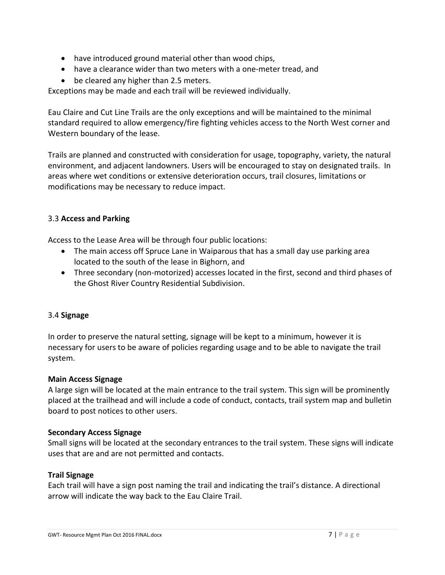- have introduced ground material other than wood chips,
- have a clearance wider than two meters with a one-meter tread, and
- be cleared any higher than 2.5 meters.

Exceptions may be made and each trail will be reviewed individually.

Eau Claire and Cut Line Trails are the only exceptions and will be maintained to the minimal standard required to allow emergency/fire fighting vehicles access to the North West corner and Western boundary of the lease.

Trails are planned and constructed with consideration for usage, topography, variety, the natural environment, and adjacent landowners. Users will be encouraged to stay on designated trails. In areas where wet conditions or extensive deterioration occurs, trail closures, limitations or modifications may be necessary to reduce impact.

#### 3.3 **Access and Parking**

Access to the Lease Area will be through four public locations:

- The main access off Spruce Lane in Waiparous that has a small day use parking area located to the south of the lease in Bighorn, and
- Three secondary (non-motorized) accesses located in the first, second and third phases of the Ghost River Country Residential Subdivision.

# 3.4 **Signage**

In order to preserve the natural setting, signage will be kept to a minimum, however it is necessary for users to be aware of policies regarding usage and to be able to navigate the trail system.

#### **Main Access Signage**

A large sign will be located at the main entrance to the trail system. This sign will be prominently placed at the trailhead and will include a code of conduct, contacts, trail system map and bulletin board to post notices to other users.

#### **Secondary Access Signage**

Small signs will be located at the secondary entrances to the trail system. These signs will indicate uses that are and are not permitted and contacts.

# **Trail Signage**

Each trail will have a sign post naming the trail and indicating the trail's distance. A directional arrow will indicate the way back to the Eau Claire Trail.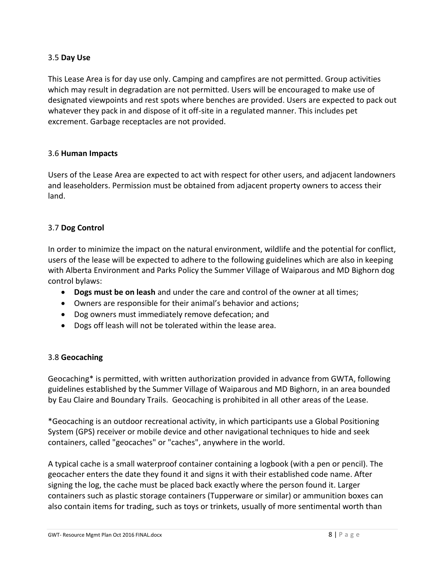#### 3.5 **Day Use**

This Lease Area is for day use only. Camping and campfires are not permitted. Group activities which may result in degradation are not permitted. Users will be encouraged to make use of designated viewpoints and rest spots where benches are provided. Users are expected to pack out whatever they pack in and dispose of it off-site in a regulated manner. This includes pet excrement. Garbage receptacles are not provided.

#### 3.6 **Human Impacts**

Users of the Lease Area are expected to act with respect for other users, and adjacent landowners and leaseholders. Permission must be obtained from adjacent property owners to access their land.

#### 3.7 **Dog Control**

In order to minimize the impact on the natural environment, wildlife and the potential for conflict, users of the lease will be expected to adhere to the following guidelines which are also in keeping with Alberta Environment and Parks Policy the Summer Village of Waiparous and MD Bighorn dog control bylaws:

- **Dogs must be on leash** and under the care and control of the owner at all times;
- Owners are responsible for their animal's behavior and actions;
- Dog owners must immediately remove defecation; and
- Dogs off leash will not be tolerated within the lease area.

#### 3.8 **Geocaching**

Geocaching\* is permitted, with written authorization provided in advance from GWTA, following guidelines established by the Summer Village of Waiparous and MD Bighorn, in an area bounded by Eau Claire and Boundary Trails. Geocaching is prohibited in all other areas of the Lease.

\*Geocaching is an outdoor recreational activity, in which participants use a Global Positioning System (GPS) receiver or mobile device and other navigational techniques to hide and seek containers, called "geocaches" or "caches", anywhere in the world.

A typical cache is a small waterproof container containing a logbook (with a pen or pencil). The geocacher enters the date they found it and signs it with their established code name. After signing the log, the cache must be placed back exactly where the person found it. Larger containers such as plastic storage containers (Tupperware or similar) or ammunition boxes can also contain items for trading, such as toys or trinkets, usually of more sentimental worth than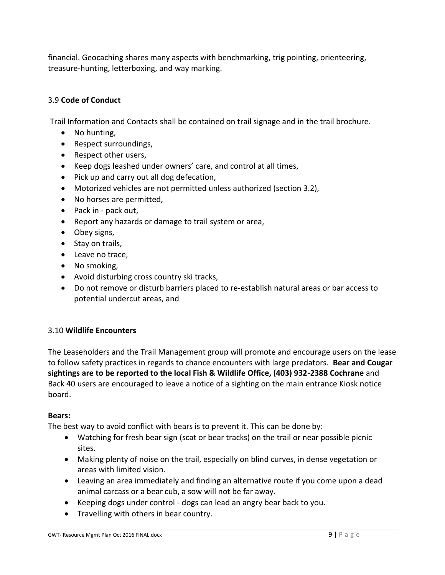financial. Geocaching shares many aspects with benchmarking, trig pointing, orienteering, treasure-hunting, letterboxing, and way marking.

# 3.9 **Code of Conduct**

Trail Information and Contacts shall be contained on trail signage and in the trail brochure.

- No hunting,
- Respect surroundings,
- Respect other users,
- Keep dogs leashed under owners' care, and control at all times,
- Pick up and carry out all dog defecation,
- Motorized vehicles are not permitted unless authorized (section 3.2),
- No horses are permitted,
- Pack in pack out,
- Report any hazards or damage to trail system or area,
- Obey signs,
- Stay on trails,
- Leave no trace,
- No smoking,
- Avoid disturbing cross country ski tracks,
- Do not remove or disturb barriers placed to re-establish natural areas or bar access to potential undercut areas, and

# 3.10 **Wildlife Encounters**

The Leaseholders and the Trail Management group will promote and encourage users on the lease to follow safety practices in regards to chance encounters with large predators. **Bear and Cougar sightings are to be reported to the local Fish & Wildlife Office, (403) 932-2388 Cochrane** and Back 40 users are encouraged to leave a notice of a sighting on the main entrance Kiosk notice board.

#### **Bears:**

The best way to avoid conflict with bears is to prevent it. This can be done by:

- Watching for fresh bear sign (scat or bear tracks) on the trail or near possible picnic sites.
- Making plenty of noise on the trail, especially on blind curves, in dense vegetation or areas with limited vision.
- Leaving an area immediately and finding an alternative route if you come upon a dead animal carcass or a bear cub, a sow will not be far away.
- Keeping dogs under control dogs can lead an angry bear back to you.
- Travelling with others in bear country.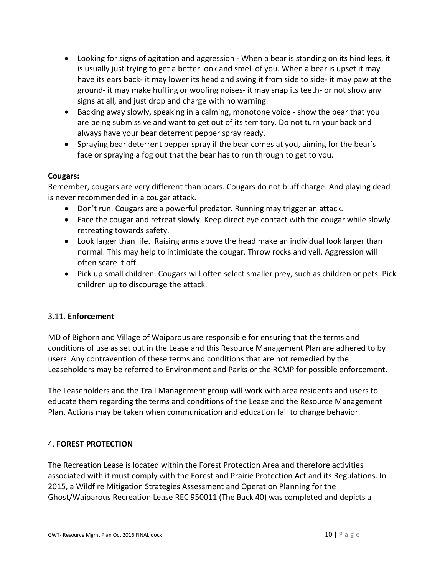- Looking for signs of agitation and aggression When a bear is standing on its hind legs, it is usually just trying to get a better look and smell of you. When a bear is upset it may have its ears back- it may lower its head and swing it from side to side- it may paw at the ground- it may make huffing or woofing noises- it may snap its teeth- or not show any signs at all, and just drop and charge with no warning.
- Backing away slowly, speaking in a calming, monotone voice show the bear that you are being submissive and want to get out of its territory. Do not turn your back and always have your bear deterrent pepper spray ready.
- Spraying bear deterrent pepper spray if the bear comes at you, aiming for the bear's face or spraying a fog out that the bear has to run through to get to you.

# **Cougars:**

Remember, cougars are very different than bears. Cougars do not bluff charge. And playing dead is never recommended in a cougar attack.

- Don't run. Cougars are a powerful predator. Running may trigger an attack.
- Face the cougar and retreat slowly. Keep direct eye contact with the cougar while slowly retreating towards safety.
- Look larger than life. Raising arms above the head make an individual look larger than normal. This may help to intimidate the cougar. Throw rocks and yell. Aggression will often scare it off.
- Pick up small children. Cougars will often select smaller prey, such as children or pets. Pick children up to discourage the attack.

# 3.11. **Enforcement**

MD of Bighorn and Village of Waiparous are responsible for ensuring that the terms and conditions of use as set out in the Lease and this Resource Management Plan are adhered to by users. Any contravention of these terms and conditions that are not remedied by the Leaseholders may be referred to Environment and Parks or the RCMP for possible enforcement.

The Leaseholders and the Trail Management group will work with area residents and users to educate them regarding the terms and conditions of the Lease and the Resource Management Plan. Actions may be taken when communication and education fail to change behavior.

# 4. **FOREST PROTECTION**

The Recreation Lease is located within the Forest Protection Area and therefore activities associated with it must comply with the Forest and Prairie Protection Act and its Regulations. In 2015, a Wildfire Mitigation Strategies Assessment and Operation Planning for the Ghost/Waiparous Recreation Lease REC 950011 (The Back 40) was completed and depicts a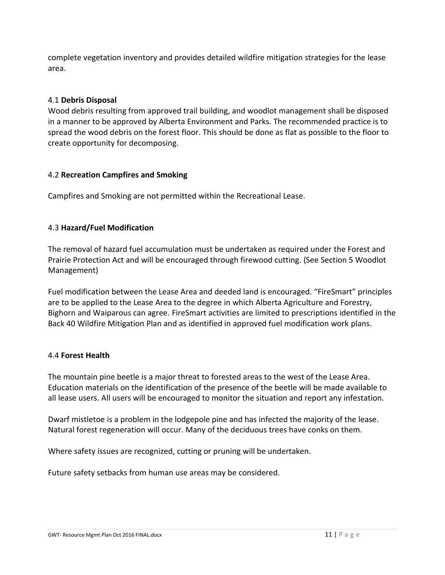complete vegetation inventory and provides detailed wildfire mitigation strategies for the lease area.

# 4.1 **Debris Disposal**

Wood debris resulting from approved trail building, and woodlot management shall be disposed in a manner to be approved by Alberta Environment and Parks. The recommended practice is to spread the wood debris on the forest floor. This should be done as flat as possible to the floor to create opportunity for decomposing.

# 4.2 **Recreation Campfires and Smoking**

Campfires and Smoking are not permitted within the Recreational Lease.

# 4.3 **Hazard/Fuel Modification**

The removal of hazard fuel accumulation must be undertaken as required under the Forest and Prairie Protection Act and will be encouraged through firewood cutting. (See Section 5 Woodlot Management)

Fuel modification between the Lease Area and deeded land is encouraged. "FireSmart" principles are to be applied to the Lease Area to the degree in which Alberta Agriculture and Forestry, Bighorn and Waiparous can agree. FireSmart activities are limited to prescriptions identified in the Back 40 Wildfire Mitigation Plan and as identified in approved fuel modification work plans.

#### 4.4 **Forest Health**

The mountain pine beetle is a major threat to forested areas to the west of the Lease Area. Education materials on the identification of the presence of the beetle will be made available to all lease users. All users will be encouraged to monitor the situation and report any infestation.

Dwarf mistletoe is a problem in the lodgepole pine and has infected the majority of the lease. Natural forest regeneration will occur. Many of the deciduous trees have conks on them.

Where safety issues are recognized, cutting or pruning will be undertaken.

Future safety setbacks from human use areas may be considered.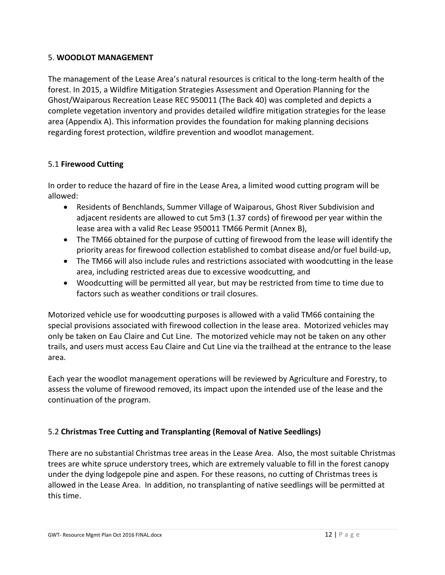# 5. **WOODLOT MANAGEMENT**

The management of the Lease Area's natural resources is critical to the long-term health of the forest. In 2015, a Wildfire Mitigation Strategies Assessment and Operation Planning for the Ghost/Waiparous Recreation Lease REC 950011 (The Back 40) was completed and depicts a complete vegetation inventory and provides detailed wildfire mitigation strategies for the lease area (Appendix A). This information provides the foundation for making planning decisions regarding forest protection, wildfire prevention and woodlot management.

# 5.1 **Firewood Cutting**

In order to reduce the hazard of fire in the Lease Area, a limited wood cutting program will be allowed:

- Residents of Benchlands, Summer Village of Waiparous, Ghost River Subdivision and adjacent residents are allowed to cut 5m3 (1.37 cords) of firewood per year within the lease area with a valid Rec Lease 950011 TM66 Permit (Annex B),
- The TM66 obtained for the purpose of cutting of firewood from the lease will identify the priority areas for firewood collection established to combat disease and/or fuel build-up,
- The TM66 will also include rules and restrictions associated with woodcutting in the lease area, including restricted areas due to excessive woodcutting, and
- Woodcutting will be permitted all year, but may be restricted from time to time due to factors such as weather conditions or trail closures.

Motorized vehicle use for woodcutting purposes is allowed with a valid TM66 containing the special provisions associated with firewood collection in the lease area. Motorized vehicles may only be taken on Eau Claire and Cut Line. The motorized vehicle may not be taken on any other trails, and users must access Eau Claire and Cut Line via the trailhead at the entrance to the lease area.

Each year the woodlot management operations will be reviewed by Agriculture and Forestry, to assess the volume of firewood removed, its impact upon the intended use of the lease and the continuation of the program.

# 5.2 **Christmas Tree Cutting and Transplanting (Removal of Native Seedlings)**

There are no substantial Christmas tree areas in the Lease Area. Also, the most suitable Christmas trees are white spruce understory trees, which are extremely valuable to fill in the forest canopy under the dying lodgepole pine and aspen. For these reasons, no cutting of Christmas trees is allowed in the Lease Area. In addition, no transplanting of native seedlings will be permitted at this time.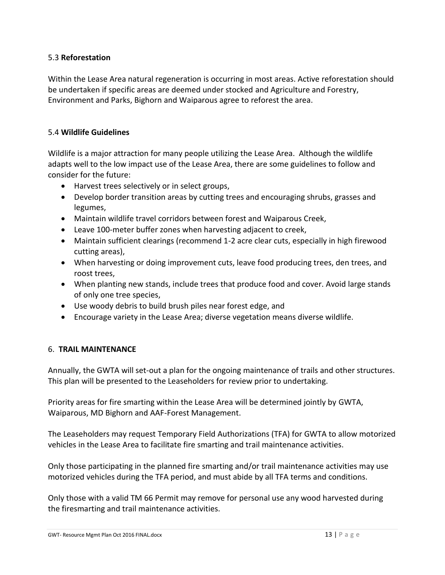#### 5.3 **Reforestation**

Within the Lease Area natural regeneration is occurring in most areas. Active reforestation should be undertaken if specific areas are deemed under stocked and Agriculture and Forestry, Environment and Parks, Bighorn and Waiparous agree to reforest the area.

#### 5.4 **Wildlife Guidelines**

Wildlife is a major attraction for many people utilizing the Lease Area. Although the wildlife adapts well to the low impact use of the Lease Area, there are some guidelines to follow and consider for the future:

- Harvest trees selectively or in select groups,
- Develop border transition areas by cutting trees and encouraging shrubs, grasses and legumes,
- Maintain wildlife travel corridors between forest and Waiparous Creek,
- Leave 100-meter buffer zones when harvesting adjacent to creek,
- Maintain sufficient clearings (recommend 1-2 acre clear cuts, especially in high firewood cutting areas),
- When harvesting or doing improvement cuts, leave food producing trees, den trees, and roost trees,
- When planting new stands, include trees that produce food and cover. Avoid large stands of only one tree species,
- Use woody debris to build brush piles near forest edge, and
- Encourage variety in the Lease Area; diverse vegetation means diverse wildlife.

#### 6. **TRAIL MAINTENANCE**

Annually, the GWTA will set-out a plan for the ongoing maintenance of trails and other structures. This plan will be presented to the Leaseholders for review prior to undertaking.

Priority areas for fire smarting within the Lease Area will be determined jointly by GWTA, Waiparous, MD Bighorn and AAF-Forest Management.

The Leaseholders may request Temporary Field Authorizations (TFA) for GWTA to allow motorized vehicles in the Lease Area to facilitate fire smarting and trail maintenance activities.

Only those participating in the planned fire smarting and/or trail maintenance activities may use motorized vehicles during the TFA period, and must abide by all TFA terms and conditions.

Only those with a valid TM 66 Permit may remove for personal use any wood harvested during the firesmarting and trail maintenance activities.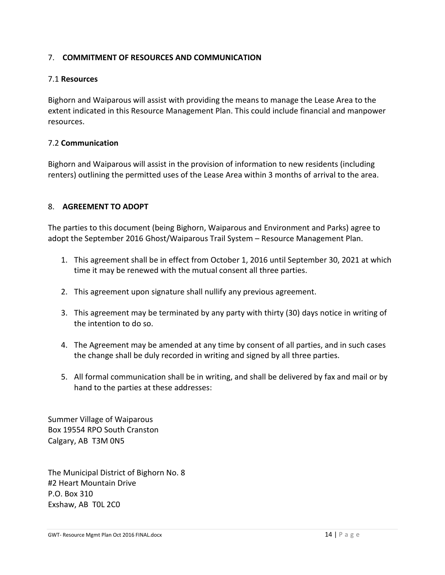#### 7. **COMMITMENT OF RESOURCES AND COMMUNICATION**

#### 7.1 **Resources**

Bighorn and Waiparous will assist with providing the means to manage the Lease Area to the extent indicated in this Resource Management Plan. This could include financial and manpower resources.

#### 7.2 **Communication**

Bighorn and Waiparous will assist in the provision of information to new residents (including renters) outlining the permitted uses of the Lease Area within 3 months of arrival to the area.

#### 8. **AGREEMENT TO ADOPT**

The parties to this document (being Bighorn, Waiparous and Environment and Parks) agree to adopt the September 2016 Ghost/Waiparous Trail System – Resource Management Plan.

- 1. This agreement shall be in effect from October 1, 2016 until September 30, 2021 at which time it may be renewed with the mutual consent all three parties.
- 2. This agreement upon signature shall nullify any previous agreement.
- 3. This agreement may be terminated by any party with thirty (30) days notice in writing of the intention to do so.
- 4. The Agreement may be amended at any time by consent of all parties, and in such cases the change shall be duly recorded in writing and signed by all three parties.
- 5. All formal communication shall be in writing, and shall be delivered by fax and mail or by hand to the parties at these addresses:

Summer Village of Waiparous Box 19554 RPO South Cranston Calgary, AB T3M 0N5

The Municipal District of Bighorn No. 8 #2 Heart Mountain Drive P.O. Box 310 Exshaw, AB T0L 2C0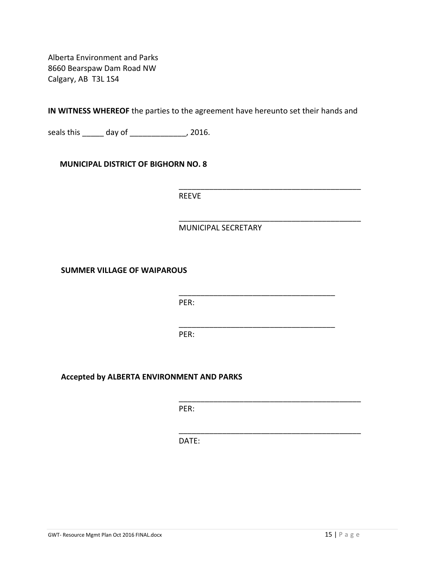Alberta Environment and Parks 8660 Bearspaw Dam Road NW Calgary, AB T3L 1S4

**IN WITNESS WHEREOF** the parties to the agreement have hereunto set their hands and

seals this \_\_\_\_\_\_ day of \_\_\_\_\_\_\_\_\_\_\_\_\_\_, 2016.

#### **MUNICIPAL DISTRICT OF BIGHORN NO. 8**

REEVE

MUNICIPAL SECRETARY

\_\_\_\_\_\_\_\_\_\_\_\_\_\_\_\_\_\_\_\_\_\_\_\_\_\_\_\_\_\_\_\_\_\_\_\_\_\_\_\_\_\_

\_\_\_\_\_\_\_\_\_\_\_\_\_\_\_\_\_\_\_\_\_\_\_\_\_\_\_\_\_\_\_\_\_\_\_\_\_\_\_\_\_\_

\_\_\_\_\_\_\_\_\_\_\_\_\_\_\_\_\_\_\_\_\_\_\_\_\_\_\_\_\_\_\_\_\_\_\_\_

\_\_\_\_\_\_\_\_\_\_\_\_\_\_\_\_\_\_\_\_\_\_\_\_\_\_\_\_\_\_\_\_\_\_\_\_

\_\_\_\_\_\_\_\_\_\_\_\_\_\_\_\_\_\_\_\_\_\_\_\_\_\_\_\_\_\_\_\_\_\_\_\_\_\_\_\_\_\_

\_\_\_\_\_\_\_\_\_\_\_\_\_\_\_\_\_\_\_\_\_\_\_\_\_\_\_\_\_\_\_\_\_\_\_\_\_\_\_\_\_\_

**SUMMER VILLAGE OF WAIPAROUS**

PER:

PER:

**Accepted by ALBERTA ENVIRONMENT AND PARKS**

PER:

DATE: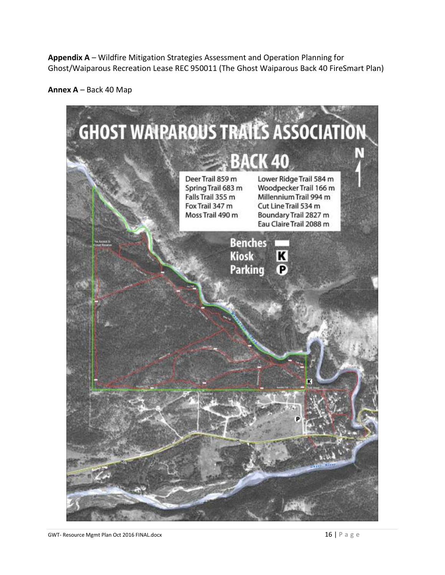**Appendix A** – Wildfire Mitigation Strategies Assessment and Operation Planning for Ghost/Waiparous Recreation Lease REC 950011 (The Ghost Waiparous Back 40 FireSmart Plan)

**Annex A** – Back 40 Map



GWT- Resource Mgmt Plan Oct 2016 FINAL.docx 16 | P a g e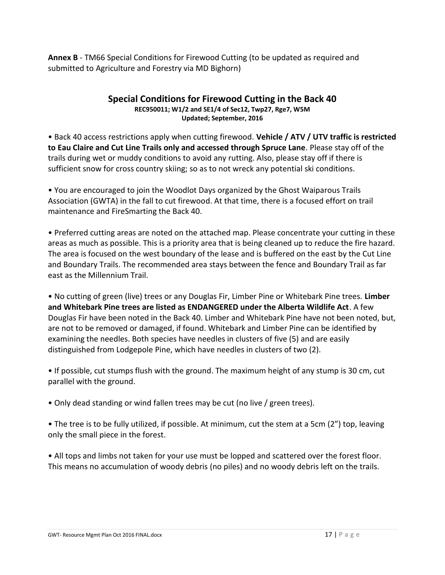**Annex B** - TM66 Special Conditions for Firewood Cutting (to be updated as required and submitted to Agriculture and Forestry via MD Bighorn)

#### **Special Conditions for Firewood Cutting in the Back 40 REC950011; W1/2 and SE1/4 of Sec12, Twp27, Rge7, W5M Updated; September, 2016**

• Back 40 access restrictions apply when cutting firewood. **Vehicle / ATV / UTV traffic is restricted to Eau Claire and Cut Line Trails only and accessed through Spruce Lane**. Please stay off of the trails during wet or muddy conditions to avoid any rutting. Also, please stay off if there is sufficient snow for cross country skiing; so as to not wreck any potential ski conditions.

• You are encouraged to join the Woodlot Days organized by the Ghost Waiparous Trails Association (GWTA) in the fall to cut firewood. At that time, there is a focused effort on trail maintenance and FireSmarting the Back 40.

• Preferred cutting areas are noted on the attached map. Please concentrate your cutting in these areas as much as possible. This is a priority area that is being cleaned up to reduce the fire hazard. The area is focused on the west boundary of the lease and is buffered on the east by the Cut Line and Boundary Trails. The recommended area stays between the fence and Boundary Trail as far east as the Millennium Trail.

• No cutting of green (live) trees or any Douglas Fir, Limber Pine or Whitebark Pine trees. **Limber and Whitebark Pine trees are listed as ENDANGERED under the Alberta Wildlife Act**. A few Douglas Fir have been noted in the Back 40. Limber and Whitebark Pine have not been noted, but, are not to be removed or damaged, if found. Whitebark and Limber Pine can be identified by examining the needles. Both species have needles in clusters of five (5) and are easily distinguished from Lodgepole Pine, which have needles in clusters of two (2).

• If possible, cut stumps flush with the ground. The maximum height of any stump is 30 cm, cut parallel with the ground.

• Only dead standing or wind fallen trees may be cut (no live / green trees).

• The tree is to be fully utilized, if possible. At minimum, cut the stem at a 5cm (2") top, leaving only the small piece in the forest.

• All tops and limbs not taken for your use must be lopped and scattered over the forest floor. This means no accumulation of woody debris (no piles) and no woody debris left on the trails.